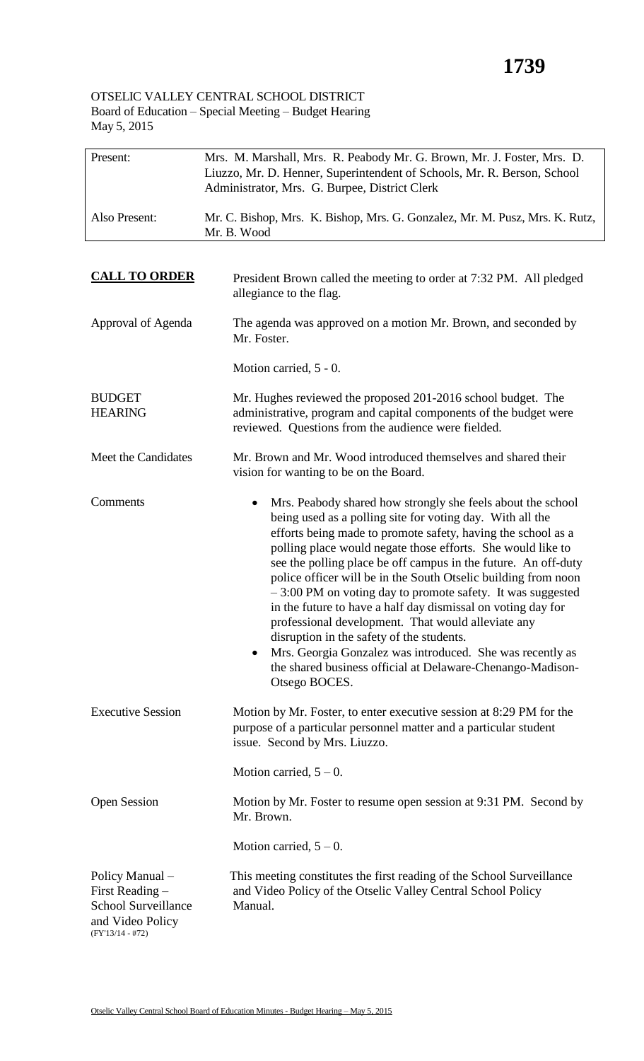## OTSELIC VALLEY CENTRAL SCHOOL DISTRICT Board of Education – Special Meeting – Budget Hearing May 5, 2015

| Present:                                                                                                   | Mrs. M. Marshall, Mrs. R. Peabody Mr. G. Brown, Mr. J. Foster, Mrs. D.<br>Liuzzo, Mr. D. Henner, Superintendent of Schools, Mr. R. Berson, School<br>Administrator, Mrs. G. Burpee, District Clerk                                                                                                                                                                                                                                                                                                                                                                                                                                                                                                                                                                                           |
|------------------------------------------------------------------------------------------------------------|----------------------------------------------------------------------------------------------------------------------------------------------------------------------------------------------------------------------------------------------------------------------------------------------------------------------------------------------------------------------------------------------------------------------------------------------------------------------------------------------------------------------------------------------------------------------------------------------------------------------------------------------------------------------------------------------------------------------------------------------------------------------------------------------|
| Also Present:                                                                                              | Mr. C. Bishop, Mrs. K. Bishop, Mrs. G. Gonzalez, Mr. M. Pusz, Mrs. K. Rutz,<br>Mr. B. Wood                                                                                                                                                                                                                                                                                                                                                                                                                                                                                                                                                                                                                                                                                                   |
|                                                                                                            |                                                                                                                                                                                                                                                                                                                                                                                                                                                                                                                                                                                                                                                                                                                                                                                              |
| <b>CALL TO ORDER</b>                                                                                       | President Brown called the meeting to order at 7:32 PM. All pledged<br>allegiance to the flag.                                                                                                                                                                                                                                                                                                                                                                                                                                                                                                                                                                                                                                                                                               |
| Approval of Agenda                                                                                         | The agenda was approved on a motion Mr. Brown, and seconded by<br>Mr. Foster.                                                                                                                                                                                                                                                                                                                                                                                                                                                                                                                                                                                                                                                                                                                |
|                                                                                                            | Motion carried, 5 - 0.                                                                                                                                                                                                                                                                                                                                                                                                                                                                                                                                                                                                                                                                                                                                                                       |
| <b>BUDGET</b><br><b>HEARING</b>                                                                            | Mr. Hughes reviewed the proposed 201-2016 school budget. The<br>administrative, program and capital components of the budget were<br>reviewed. Questions from the audience were fielded.                                                                                                                                                                                                                                                                                                                                                                                                                                                                                                                                                                                                     |
| Meet the Candidates                                                                                        | Mr. Brown and Mr. Wood introduced themselves and shared their<br>vision for wanting to be on the Board.                                                                                                                                                                                                                                                                                                                                                                                                                                                                                                                                                                                                                                                                                      |
| Comments                                                                                                   | Mrs. Peabody shared how strongly she feels about the school<br>٠<br>being used as a polling site for voting day. With all the<br>efforts being made to promote safety, having the school as a<br>polling place would negate those efforts. She would like to<br>see the polling place be off campus in the future. An off-duty<br>police officer will be in the South Otselic building from noon<br>$-3:00$ PM on voting day to promote safety. It was suggested<br>in the future to have a half day dismissal on voting day for<br>professional development. That would alleviate any<br>disruption in the safety of the students.<br>Mrs. Georgia Gonzalez was introduced. She was recently as<br>$\bullet$<br>the shared business official at Delaware-Chenango-Madison-<br>Otsego BOCES. |
| <b>Executive Session</b>                                                                                   | Motion by Mr. Foster, to enter executive session at 8:29 PM for the<br>purpose of a particular personnel matter and a particular student<br>issue. Second by Mrs. Liuzzo.                                                                                                                                                                                                                                                                                                                                                                                                                                                                                                                                                                                                                    |
|                                                                                                            | Motion carried, $5 - 0$ .                                                                                                                                                                                                                                                                                                                                                                                                                                                                                                                                                                                                                                                                                                                                                                    |
| <b>Open Session</b>                                                                                        | Motion by Mr. Foster to resume open session at 9:31 PM. Second by<br>Mr. Brown.                                                                                                                                                                                                                                                                                                                                                                                                                                                                                                                                                                                                                                                                                                              |
|                                                                                                            | Motion carried, $5 - 0$ .                                                                                                                                                                                                                                                                                                                                                                                                                                                                                                                                                                                                                                                                                                                                                                    |
| Policy Manual -<br>First Reading –<br><b>School Surveillance</b><br>and Video Policy<br>$(FY'13/14 - #72)$ | This meeting constitutes the first reading of the School Surveillance<br>and Video Policy of the Otselic Valley Central School Policy<br>Manual.                                                                                                                                                                                                                                                                                                                                                                                                                                                                                                                                                                                                                                             |